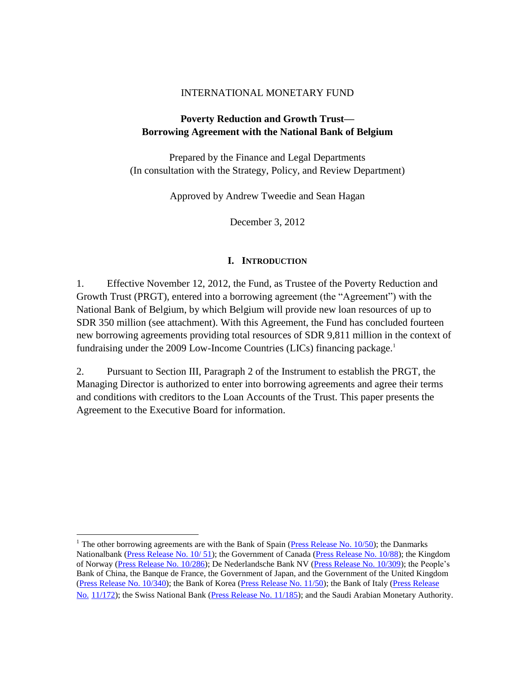#### INTERNATIONAL MONETARY FUND

### **Poverty Reduction and Growth Trust— Borrowing Agreement with the National Bank of Belgium**

Prepared by the Finance and Legal Departments (In consultation with the Strategy, Policy, and Review Department)

Approved by Andrew Tweedie and Sean Hagan

December 3, 2012

#### **I. INTRODUCTION**

1. Effective November 12, 2012, the Fund, as Trustee of the Poverty Reduction and Growth Trust (PRGT), entered into a borrowing agreement (the "Agreement") with the National Bank of Belgium, by which Belgium will provide new loan resources of up to SDR 350 million (see attachment). With this Agreement, the Fund has concluded fourteen new borrowing agreements providing total resources of SDR 9,811 million in the context of fundraising under the 2009 Low-Income Countries (LICs) financing package.<sup>1</sup>

2. Pursuant to Section III, Paragraph 2 of the Instrument to establish the PRGT, the Managing Director is authorized to enter into borrowing agreements and agree their terms and conditions with creditors to the Loan Accounts of the Trust. This paper presents the Agreement to the Executive Board for information.

 $\overline{a}$ 

<sup>&</sup>lt;sup>1</sup> The other borrowing agreements are with the Bank of Spain [\(Press Release No. 10/50\)](http://www.imf.org/external/np/sec/pr/2010/pr1050.htm); the Danmarks Nationalbank [\(Press Release No. 10/ 51\)](http://www.imf.org/external/np/sec/pr/2010/pr1051.htm); the Government of Canada [\(Press Release No. 10/88\)](http://www.imf.org/external/np/sec/pr/2010/pr1088.htm); the Kingdom of Norway [\(Press Release No. 10/286\)](http://www.imf.org/external/np/sec/pr/2010/pr10286.htm); De Nederlandsche Bank NV [\(Press Release No. 10/309\)](http://www.imf.org/external/np/sec/pr/2010/pr10309.htm); the People's Bank of China, the Banque de France, the Government of Japan, and the Government of the United Kingdom [\(Press Release No. 10/340\)](http://www.imf.org/external/np/sec/pr/2010/pr10340.htm); the Bank of Korea [\(Press Release No. 11/50\)](http://www.imf.org/external/np/sec/pr/2011/pr1150.htm); the Bank of Italy [\(Press Release](http://www.imf.org/external/np/pp/eng/2011/050311.pdf)  No. [11/172\)](http://www.imf.org/external/np/pp/eng/2011/050311.pdf); the Swiss National Bank [\(Press Release No. 11/185\)](http://www.imf.org/external/np/sec/pr/2011/pr11185.htm); and the Saudi Arabian Monetary Authority.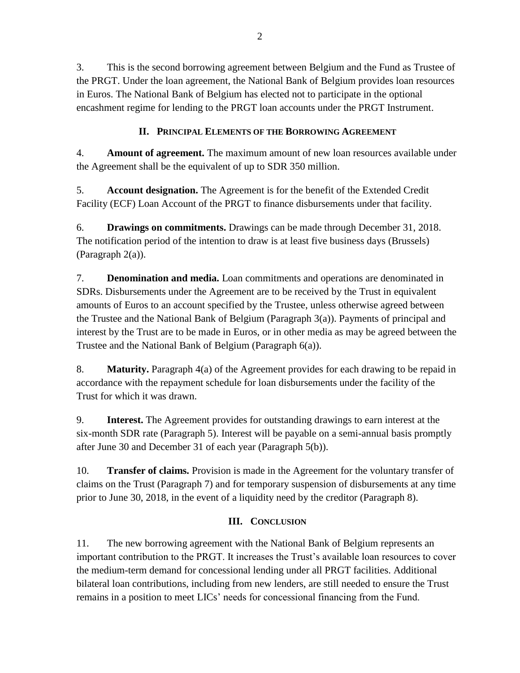3. This is the second borrowing agreement between Belgium and the Fund as Trustee of the PRGT. Under the loan agreement, the National Bank of Belgium provides loan resources in Euros. The National Bank of Belgium has elected not to participate in the optional encashment regime for lending to the PRGT loan accounts under the PRGT Instrument.

# **II. PRINCIPAL ELEMENTS OF THE BORROWING AGREEMENT**

4. **Amount of agreement.** The maximum amount of new loan resources available under the Agreement shall be the equivalent of up to SDR 350 million.

5. **Account designation.** The Agreement is for the benefit of the Extended Credit Facility (ECF) Loan Account of the PRGT to finance disbursements under that facility.

6. **Drawings on commitments.** Drawings can be made through December 31, 2018. The notification period of the intention to draw is at least five business days (Brussels) (Paragraph 2(a)).

7. **Denomination and media.** Loan commitments and operations are denominated in SDRs. Disbursements under the Agreement are to be received by the Trust in equivalent amounts of Euros to an account specified by the Trustee, unless otherwise agreed between the Trustee and the National Bank of Belgium (Paragraph 3(a)). Payments of principal and interest by the Trust are to be made in Euros, or in other media as may be agreed between the Trustee and the National Bank of Belgium (Paragraph 6(a)).

8. **Maturity.** Paragraph 4(a) of the Agreement provides for each drawing to be repaid in accordance with the repayment schedule for loan disbursements under the facility of the Trust for which it was drawn.

9. **Interest.** The Agreement provides for outstanding drawings to earn interest at the six-month SDR rate (Paragraph 5). Interest will be payable on a semi-annual basis promptly after June 30 and December 31 of each year (Paragraph 5(b)).

10. **Transfer of claims.** Provision is made in the Agreement for the voluntary transfer of claims on the Trust (Paragraph 7) and for temporary suspension of disbursements at any time prior to June 30, 2018, in the event of a liquidity need by the creditor (Paragraph 8).

### **III. CONCLUSION**

11. The new borrowing agreement with the National Bank of Belgium represents an important contribution to the PRGT. It increases the Trust's available loan resources to cover the medium-term demand for concessional lending under all PRGT facilities. Additional bilateral loan contributions, including from new lenders, are still needed to ensure the Trust remains in a position to meet LICs' needs for concessional financing from the Fund.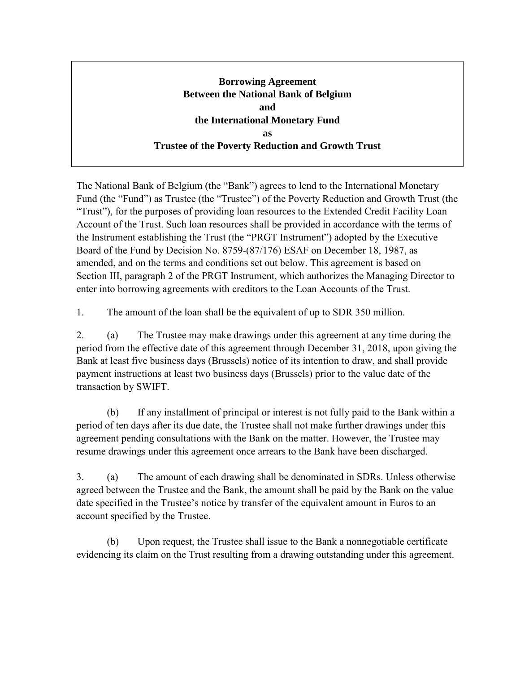# **Borrowing Agreement Between the National Bank of Belgium and the International Monetary Fund as Trustee of the Poverty Reduction and Growth Trust**

The National Bank of Belgium (the "Bank") agrees to lend to the International Monetary Fund (the "Fund") as Trustee (the "Trustee") of the Poverty Reduction and Growth Trust (the "Trust"), for the purposes of providing loan resources to the Extended Credit Facility Loan Account of the Trust. Such loan resources shall be provided in accordance with the terms of the Instrument establishing the Trust (the "PRGT Instrument") adopted by the Executive Board of the Fund by Decision No. 8759-(87/176) ESAF on December 18, 1987, as amended, and on the terms and conditions set out below. This agreement is based on Section III, paragraph 2 of the PRGT Instrument, which authorizes the Managing Director to enter into borrowing agreements with creditors to the Loan Accounts of the Trust.

1. The amount of the loan shall be the equivalent of up to SDR 350 million.

2. (a) The Trustee may make drawings under this agreement at any time during the period from the effective date of this agreement through December 31, 2018, upon giving the Bank at least five business days (Brussels) notice of its intention to draw, and shall provide payment instructions at least two business days (Brussels) prior to the value date of the transaction by SWIFT.

(b) If any installment of principal or interest is not fully paid to the Bank within a period of ten days after its due date, the Trustee shall not make further drawings under this agreement pending consultations with the Bank on the matter. However, the Trustee may resume drawings under this agreement once arrears to the Bank have been discharged.

3. (a) The amount of each drawing shall be denominated in SDRs. Unless otherwise agreed between the Trustee and the Bank, the amount shall be paid by the Bank on the value date specified in the Trustee's notice by transfer of the equivalent amount in Euros to an account specified by the Trustee.

(b) Upon request, the Trustee shall issue to the Bank a nonnegotiable certificate evidencing its claim on the Trust resulting from a drawing outstanding under this agreement.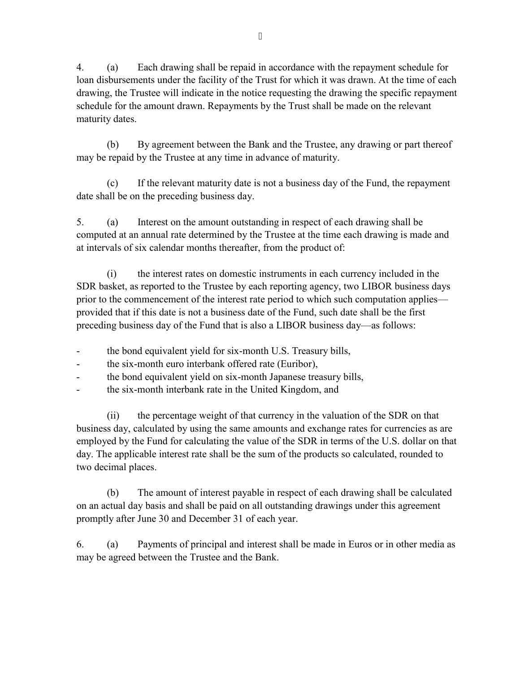4. (a) Each drawing shall be repaid in accordance with the repayment schedule for loan disbursements under the facility of the Trust for which it was drawn. At the time of each drawing, the Trustee will indicate in the notice requesting the drawing the specific repayment schedule for the amount drawn. Repayments by the Trust shall be made on the relevant maturity dates.

(b) By agreement between the Bank and the Trustee, any drawing or part thereof may be repaid by the Trustee at any time in advance of maturity.

(c) If the relevant maturity date is not a business day of the Fund, the repayment date shall be on the preceding business day.

5. (a) Interest on the amount outstanding in respect of each drawing shall be computed at an annual rate determined by the Trustee at the time each drawing is made and at intervals of six calendar months thereafter, from the product of:

(i) the interest rates on domestic instruments in each currency included in the SDR basket, as reported to the Trustee by each reporting agency, two LIBOR business days prior to the commencement of the interest rate period to which such computation applies provided that if this date is not a business date of the Fund, such date shall be the first preceding business day of the Fund that is also a LIBOR business day—as follows:

- the bond equivalent yield for six-month U.S. Treasury bills,
- the six-month euro interbank offered rate (Euribor),
- the bond equivalent yield on six-month Japanese treasury bills,
- the six-month interbank rate in the United Kingdom, and

(ii) the percentage weight of that currency in the valuation of the SDR on that business day, calculated by using the same amounts and exchange rates for currencies as are employed by the Fund for calculating the value of the SDR in terms of the U.S. dollar on that day. The applicable interest rate shall be the sum of the products so calculated, rounded to two decimal places.

(b) The amount of interest payable in respect of each drawing shall be calculated on an actual day basis and shall be paid on all outstanding drawings under this agreement promptly after June 30 and December 31 of each year.

6. (a) Payments of principal and interest shall be made in Euros or in other media as may be agreed between the Trustee and the Bank.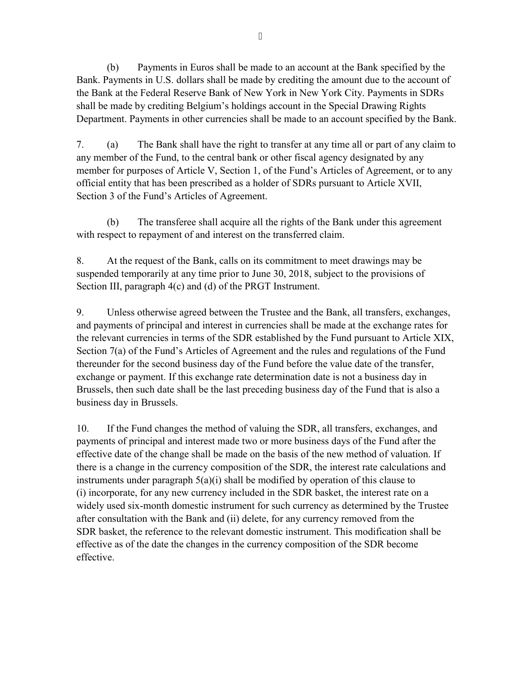(b) Payments in Euros shall be made to an account at the Bank specified by the Bank. Payments in U.S. dollars shall be made by crediting the amount due to the account of the Bank at the Federal Reserve Bank of New York in New York City. Payments in SDRs shall be made by crediting Belgium's holdings account in the Special Drawing Rights Department. Payments in other currencies shall be made to an account specified by the Bank.

7. (a) The Bank shall have the right to transfer at any time all or part of any claim to any member of the Fund, to the central bank or other fiscal agency designated by any member for purposes of Article V, Section 1, of the Fund's Articles of Agreement, or to any official entity that has been prescribed as a holder of SDRs pursuant to Article XVII, Section 3 of the Fund's Articles of Agreement.

(b) The transferee shall acquire all the rights of the Bank under this agreement with respect to repayment of and interest on the transferred claim.

8. At the request of the Bank, calls on its commitment to meet drawings may be suspended temporarily at any time prior to June 30, 2018, subject to the provisions of Section III, paragraph 4(c) and (d) of the PRGT Instrument.

9. Unless otherwise agreed between the Trustee and the Bank, all transfers, exchanges, and payments of principal and interest in currencies shall be made at the exchange rates for the relevant currencies in terms of the SDR established by the Fund pursuant to Article XIX, Section 7(a) of the Fund's Articles of Agreement and the rules and regulations of the Fund thereunder for the second business day of the Fund before the value date of the transfer, exchange or payment. If this exchange rate determination date is not a business day in Brussels, then such date shall be the last preceding business day of the Fund that is also a business day in Brussels.

10. If the Fund changes the method of valuing the SDR, all transfers, exchanges, and payments of principal and interest made two or more business days of the Fund after the effective date of the change shall be made on the basis of the new method of valuation. If there is a change in the currency composition of the SDR, the interest rate calculations and instruments under paragraph 5(a)(i) shall be modified by operation of this clause to (i) incorporate, for any new currency included in the SDR basket, the interest rate on a widely used six-month domestic instrument for such currency as determined by the Trustee after consultation with the Bank and (ii) delete, for any currency removed from the SDR basket, the reference to the relevant domestic instrument. This modification shall be effective as of the date the changes in the currency composition of the SDR become effective.